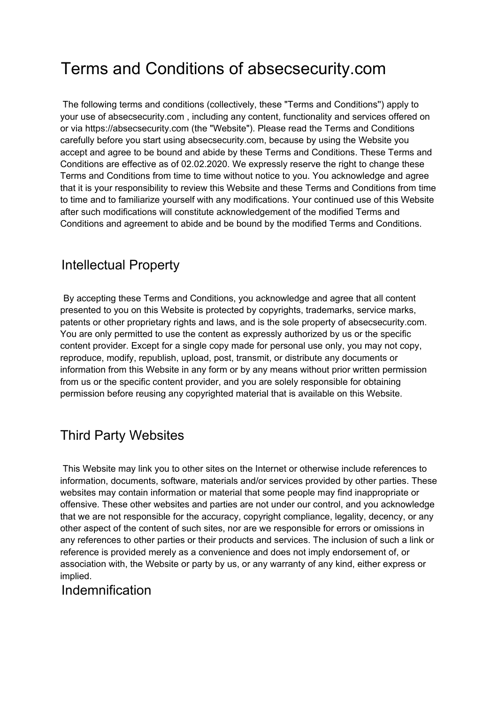# Terms and Conditions of absecsecurity.com

The following terms and conditions (collectively, these "Terms and Conditions'') apply to your use of absecsecurity.com , including any content, functionality and services offered on or via https://absecsecurity.com (the "Website"). Please read the Terms and Conditions carefully before you start using absecsecurity.com, because by using the Website you accept and agree to be bound and abide by these Terms and Conditions. These Terms and Conditions are effective as of 02.02.2020. We expressly reserve the right to change these Terms and Conditions from time to time without notice to you. You acknowledge and agree that it is your responsibility to review this Website and these Terms and Conditions from time to time and to familiarize yourself with any modifications. Your continued use of this Website after such modifications will constitute acknowledgement of the modified Terms and Conditions and agreement to abide and be bound by the modified Terms and Conditions.

# Intellectual Property

By accepting these Terms and Conditions, you acknowledge and agree that all content presented to you on this Website is protected by copyrights, trademarks, service marks, patents or other proprietary rights and laws, and is the sole property of absecsecurity.com. You are only permitted to use the content as expressly authorized by us or the specific content provider. Except for a single copy made for personal use only, you may not copy, reproduce, modify, republish, upload, post, transmit, or distribute any documents or information from this Website in any form or by any means without prior written permission from us or the specific content provider, and you are solely responsible for obtaining permission before reusing any copyrighted material that is available on this Website.

# Third Party Websites

This Website may link you to other sites on the Internet or otherwise include references to information, documents, software, materials and/or services provided by other parties. These websites may contain information or material that some people may find inappropriate or offensive. These other websites and parties are not under our control, and you acknowledge that we are not responsible for the accuracy, copyright compliance, legality, decency, or any other aspect of the content of such sites, nor are we responsible for errors or omissions in any references to other parties or their products and services. The inclusion of such a link or reference is provided merely as a convenience and does not imply endorsement of, or association with, the Website or party by us, or any warranty of any kind, either express or implied.

#### Indemnification